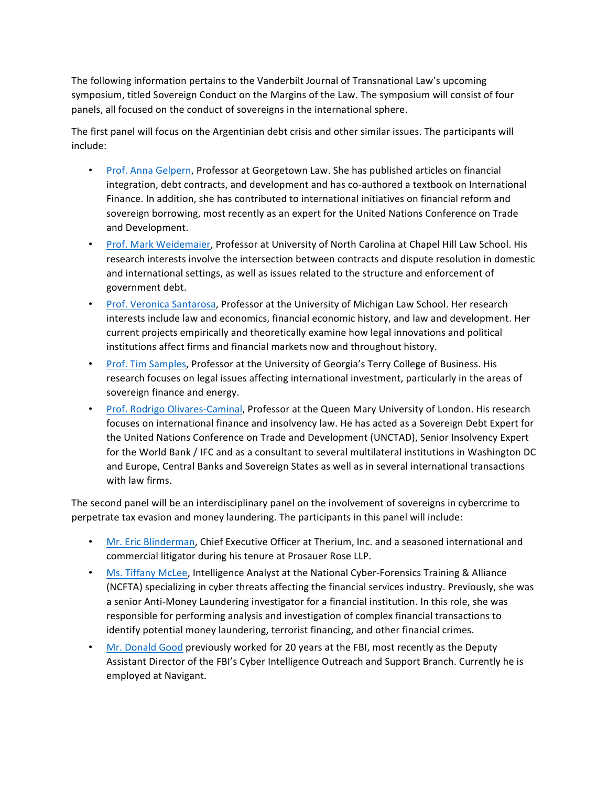The following information pertains to the Vanderbilt Journal of Transnational Law's upcoming symposium, titled Sovereign Conduct on the Margins of the Law. The symposium will consist of four panels, all focused on the conduct of sovereigns in the international sphere.

The first panel will focus on the Argentinian debt crisis and other similar issues. The participants will include: 

- Prof. Anna Gelpern, Professor at Georgetown Law. She has published articles on financial integration, debt contracts, and development and has co-authored a textbook on International Finance. In addition, she has contributed to international initiatives on financial reform and sovereign borrowing, most recently as an expert for the United Nations Conference on Trade and Development.
- Prof. Mark Weidemaier, Professor at University of North Carolina at Chapel Hill Law School. His research interests involve the intersection between contracts and dispute resolution in domestic and international settings, as well as issues related to the structure and enforcement of government debt.
- Prof. Veronica Santarosa, Professor at the University of Michigan Law School. Her research interests include law and economics, financial economic history, and law and development. Her current projects empirically and theoretically examine how legal innovations and political institutions affect firms and financial markets now and throughout history.
- Prof. Tim Samples, Professor at the University of Georgia's Terry College of Business. His research focuses on legal issues affecting international investment, particularly in the areas of sovereign finance and energy.
- Prof. Rodrigo Olivares-Caminal, Professor at the Queen Mary University of London. His research focuses on international finance and insolvency law. He has acted as a Sovereign Debt Expert for the United Nations Conference on Trade and Development (UNCTAD), Senior Insolvency Expert for the World Bank / IFC and as a consultant to several multilateral institutions in Washington DC and Europe, Central Banks and Sovereign States as well as in several international transactions with law firms.

The second panel will be an interdisciplinary panel on the involvement of sovereigns in cybercrime to perpetrate tax evasion and money laundering. The participants in this panel will include:

- Mr. Eric Blinderman, Chief Executive Officer at Therium, Inc. and a seasoned international and commercial litigator during his tenure at Prosauer Rose LLP.
- Ms. Tiffany McLee, Intelligence Analyst at the National Cyber-Forensics Training & Alliance (NCFTA) specializing in cyber threats affecting the financial services industry. Previously, she was a senior Anti-Money Laundering investigator for a financial institution. In this role, she was responsible for performing analysis and investigation of complex financial transactions to identify potential money laundering, terrorist financing, and other financial crimes.
- Mr. Donald Good previously worked for 20 years at the FBI, most recently as the Deputy Assistant Director of the FBI's Cyber Intelligence Outreach and Support Branch. Currently he is employed at Navigant.